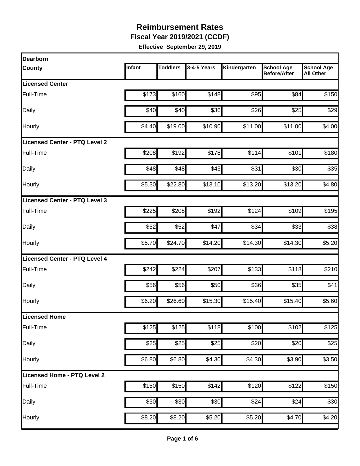**Fiscal Year 2019/2021 (CCDF)**

| <b>Dearborn</b>                      |        |          |             |              |                                          |                                       |
|--------------------------------------|--------|----------|-------------|--------------|------------------------------------------|---------------------------------------|
| <b>County</b>                        | Infant | Toddlers | 3-4-5 Years | Kindergarten | <b>School Age</b><br><b>Before/After</b> | <b>School Age</b><br><b>All Other</b> |
| <b>Licensed Center</b>               |        |          |             |              |                                          |                                       |
| Full-Time                            | \$173  | \$160    | \$148       | \$95         | \$84                                     | \$150                                 |
| Daily                                | \$40   | \$40     | \$36        | \$26         | \$25                                     | \$29                                  |
| Hourly                               | \$4.40 | \$19.00  | \$10.90     | \$11.00      | \$11.00                                  | \$4.00                                |
| <b>Licensed Center - PTQ Level 2</b> |        |          |             |              |                                          |                                       |
| Full-Time                            | \$208  | \$192    | \$178       | \$114        | \$101                                    | \$180                                 |
| Daily                                | \$48   | \$48]    | \$43        | \$31         | \$30                                     | \$35                                  |
| Hourly                               | \$5.30 | \$22.80  | \$13.10     | \$13.20      | \$13.20                                  | \$4.80                                |
| Licensed Center - PTQ Level 3        |        |          |             |              |                                          |                                       |
| <b>Full-Time</b>                     | \$225  | \$208    | \$192       | \$124        | \$109                                    | \$195                                 |
| Daily                                | \$52   | \$52     | \$47        | \$34         | \$33                                     | \$38                                  |
| Hourly                               | \$5.70 | \$24.70  | \$14.20     | \$14.30      | \$14.30                                  | \$5.20                                |
| Licensed Center - PTQ Level 4        |        |          |             |              |                                          |                                       |
| Full-Time                            | \$242  | \$224    | \$207       | \$133        | \$118                                    | \$210                                 |
| Daily                                | \$56   | \$56     | \$50        | \$36         | \$35                                     | \$41                                  |
| Hourly                               | \$6.20 | \$26.60  | \$15.30     | \$15.40      | \$15.40                                  | \$5.60                                |
| Licensed Home                        |        |          |             |              |                                          |                                       |
| Full-Time                            | \$125  | \$125    | \$118       | \$100        | \$102                                    | \$125                                 |
| Daily                                | \$25   | \$25     | \$25        | \$20         | \$20                                     | \$25                                  |
| Hourly                               | \$6.80 | \$6.80   | \$4.30      | \$4.30       | \$3.90                                   | \$3.50                                |
| Licensed Home - PTQ Level 2          |        |          |             |              |                                          |                                       |
| Full-Time                            | \$150  | \$150    | \$142       | \$120        | \$122                                    | \$150                                 |
| Daily                                | \$30   | \$30     | \$30        | \$24         | \$24                                     | \$30                                  |
| Hourly                               | \$8.20 | \$8.20   | \$5.20      | \$5.20       | \$4.70                                   | \$4.20                                |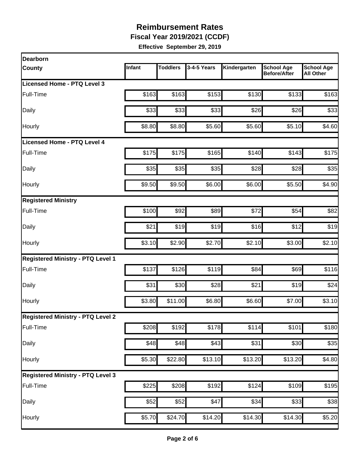**Fiscal Year 2019/2021 (CCDF)**

| Dearborn                                 |        |                 |             |              |                                          |                                       |
|------------------------------------------|--------|-----------------|-------------|--------------|------------------------------------------|---------------------------------------|
| <b>County</b>                            | Infant | <b>Toddlers</b> | 3-4-5 Years | Kindergarten | <b>School Age</b><br><b>Before/After</b> | <b>School Age</b><br><b>All Other</b> |
| Licensed Home - PTQ Level 3              |        |                 |             |              |                                          |                                       |
| Full-Time                                | \$163  | \$163           | \$153       | \$130        | \$133                                    | \$163                                 |
| Daily                                    | \$33   | \$33            | \$33        | \$26         | \$26                                     | \$33                                  |
| Hourly                                   | \$8.80 | \$8.80          | \$5.60      | \$5.60       | \$5.10                                   | \$4.60                                |
| <b>Licensed Home - PTQ Level 4</b>       |        |                 |             |              |                                          |                                       |
| Full-Time                                | \$175  | \$175           | \$165       | \$140        | \$143                                    | \$175                                 |
| Daily                                    | \$35   | \$35            | \$35        | \$28         | \$28                                     | \$35                                  |
| Hourly                                   | \$9.50 | \$9.50          | \$6.00      | \$6.00       | \$5.50                                   | \$4.90                                |
| <b>Registered Ministry</b>               |        |                 |             |              |                                          |                                       |
| Full-Time                                | \$100  | \$92            | \$89        | \$72         | \$54                                     | \$82                                  |
| Daily                                    | \$21   | \$19            | \$19        | \$16         | \$12                                     | \$19                                  |
| Hourly                                   | \$3.10 | \$2.90          | \$2.70      | \$2.10       | \$3.00                                   | \$2.10                                |
| <b>Registered Ministry - PTQ Level 1</b> |        |                 |             |              |                                          |                                       |
| Full-Time                                | \$137  | \$126           | \$119       | \$84         | \$69                                     | \$116                                 |
| Daily                                    | \$31   | \$30            | \$28        | \$21         | \$19                                     | \$24                                  |
| Hourly                                   | \$3.80 | \$11.00         | \$6.80      | \$6.60       | \$7.00                                   | \$3.10                                |
| <b>Registered Ministry - PTQ Level 2</b> |        |                 |             |              |                                          |                                       |
| Full-Time                                | \$208  | \$192           | \$178       | \$114        | \$101                                    | \$180                                 |
| <b>Daily</b>                             | \$48   | \$48            | \$43        | \$31         | \$30                                     | \$35                                  |
| Hourly                                   | \$5.30 | \$22.80         | \$13.10     | \$13.20      | \$13.20                                  | \$4.80                                |
| <b>Registered Ministry - PTQ Level 3</b> |        |                 |             |              |                                          |                                       |
| Full-Time                                | \$225  | \$208]          | \$192       | \$124        | \$109                                    | $\overline{$195}$                     |
| Daily                                    | \$52   | \$52            | \$47        | \$34         | \$33                                     | \$38                                  |
| Hourly                                   | \$5.70 | \$24.70         | \$14.20     | \$14.30      | \$14.30                                  | \$5.20                                |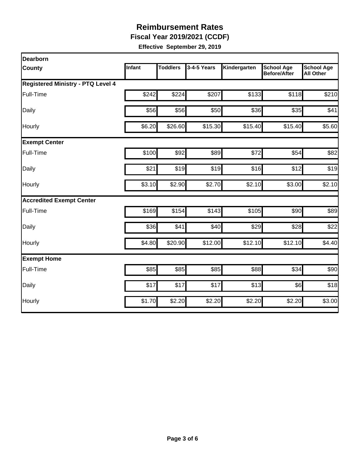**Fiscal Year 2019/2021 (CCDF)**

| <b>Dearborn</b>                          |        |                 |             |              |                                          |                                       |  |  |  |
|------------------------------------------|--------|-----------------|-------------|--------------|------------------------------------------|---------------------------------------|--|--|--|
| <b>County</b>                            | Infant | <b>Toddlers</b> | 3-4-5 Years | Kindergarten | <b>School Age</b><br><b>Before/After</b> | <b>School Age</b><br><b>All Other</b> |  |  |  |
| <b>Registered Ministry - PTQ Level 4</b> |        |                 |             |              |                                          |                                       |  |  |  |
| Full-Time                                | \$242  | \$224           | \$207       | \$133        | \$118                                    | \$210                                 |  |  |  |
| Daily                                    | \$56   | \$56            | \$50        | \$36         | \$35                                     | \$41                                  |  |  |  |
| Hourly                                   | \$6.20 | \$26.60         | \$15.30     | \$15.40      | \$15.40                                  | \$5.60                                |  |  |  |
| <b>Exempt Center</b>                     |        |                 |             |              |                                          |                                       |  |  |  |
| Full-Time                                | \$100  | \$92            | \$89        | \$72         | \$54                                     | \$82                                  |  |  |  |
| Daily                                    | \$21   | \$19            | \$19        | \$16         | \$12                                     | \$19                                  |  |  |  |
| Hourly                                   | \$3.10 | \$2.90          | \$2.70      | \$2.10       | \$3.00                                   | \$2.10                                |  |  |  |
| <b>Accredited Exempt Center</b>          |        |                 |             |              |                                          |                                       |  |  |  |
| <b>Full-Time</b>                         | \$169  | \$154           | \$143       | \$105        | \$90                                     | \$89                                  |  |  |  |
| Daily                                    | \$36   | \$41            | \$40        | \$29         | \$28                                     | \$22                                  |  |  |  |
| Hourly                                   | \$4.80 | \$20.90         | \$12.00     | \$12.10      | \$12.10                                  | \$4.40                                |  |  |  |
| <b>Exempt Home</b>                       |        |                 |             |              |                                          |                                       |  |  |  |
| Full-Time                                | \$85   | \$85            | \$85        | \$88         | \$34                                     | \$90                                  |  |  |  |
| Daily                                    | \$17   | \$17            | \$17        | \$13         | \$6]                                     | \$18                                  |  |  |  |
| Hourly                                   | \$1.70 | \$2.20          | \$2.20      | \$2.20       | \$2.20                                   | \$3.00                                |  |  |  |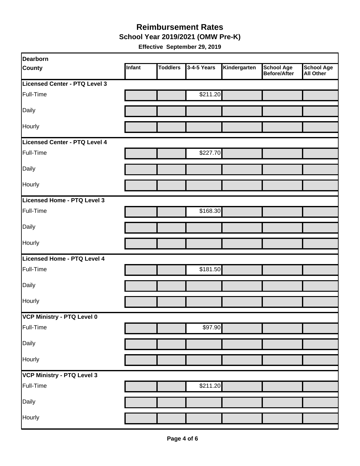#### **School Year 2019/2021 (OMW Pre-K) Reimbursement Rates**

| Dearborn                      |        |                 |             |              |                                          |                                       |
|-------------------------------|--------|-----------------|-------------|--------------|------------------------------------------|---------------------------------------|
| <b>County</b>                 | Infant | <b>Toddlers</b> | 3-4-5 Years | Kindergarten | <b>School Age</b><br><b>Before/After</b> | <b>School Age</b><br><b>All Other</b> |
| Licensed Center - PTQ Level 3 |        |                 |             |              |                                          |                                       |
| Full-Time                     |        |                 | \$211.20    |              |                                          |                                       |
| Daily                         |        |                 |             |              |                                          |                                       |
| <b>Hourly</b>                 |        |                 |             |              |                                          |                                       |
| Licensed Center - PTQ Level 4 |        |                 |             |              |                                          |                                       |
| Full-Time                     |        |                 | \$227.70    |              |                                          |                                       |
| Daily                         |        |                 |             |              |                                          |                                       |
| Hourly                        |        |                 |             |              |                                          |                                       |
| Licensed Home - PTQ Level 3   |        |                 |             |              |                                          |                                       |
| Full-Time                     |        |                 | \$168.30    |              |                                          |                                       |
| Daily                         |        |                 |             |              |                                          |                                       |
| Hourly                        |        |                 |             |              |                                          |                                       |
| Licensed Home - PTQ Level 4   |        |                 |             |              |                                          |                                       |
| Full-Time                     |        |                 | \$181.50    |              |                                          |                                       |
| Daily                         |        |                 |             |              |                                          |                                       |
| Hourly                        |        |                 |             |              |                                          |                                       |
| VCP Ministry - PTQ Level 0    |        |                 |             |              |                                          |                                       |
| Full-Time                     |        |                 | \$97.90     |              |                                          |                                       |
| Daily                         |        |                 |             |              |                                          |                                       |
| Hourly                        |        |                 |             |              |                                          |                                       |
| VCP Ministry - PTQ Level 3    |        |                 |             |              |                                          |                                       |
| Full-Time                     |        |                 | \$211.20    |              |                                          |                                       |
| Daily                         |        |                 |             |              |                                          |                                       |
| Hourly                        |        |                 |             |              |                                          |                                       |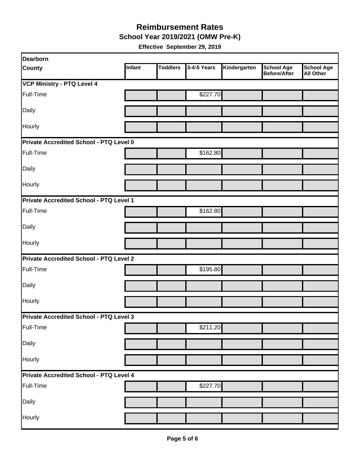**School Year 2019/2021 (OMW Pre-K)**

| <b>Dearborn</b>                                |        |                 |             |              |                                   |                                       |
|------------------------------------------------|--------|-----------------|-------------|--------------|-----------------------------------|---------------------------------------|
| <b>County</b>                                  | Infant | <b>Toddlers</b> | 3-4-5 Years | Kindergarten | <b>School Age</b><br>Before/After | <b>School Age</b><br><b>All Other</b> |
| <b>VCP Ministry - PTQ Level 4</b>              |        |                 |             |              |                                   |                                       |
| Full-Time                                      |        |                 | \$227.70    |              |                                   |                                       |
| Daily                                          |        |                 |             |              |                                   |                                       |
| Hourly                                         |        |                 |             |              |                                   |                                       |
| <b>Private Accredited School - PTQ Level 0</b> |        |                 |             |              |                                   |                                       |
| Full-Time                                      |        |                 | \$162.80    |              |                                   |                                       |
| Daily                                          |        |                 |             |              |                                   |                                       |
| Hourly                                         |        |                 |             |              |                                   |                                       |
| Private Accredited School - PTQ Level 1        |        |                 |             |              |                                   |                                       |
| Full-Time                                      |        |                 | \$162.80    |              |                                   |                                       |
| <b>Daily</b>                                   |        |                 |             |              |                                   |                                       |
| Hourly                                         |        |                 |             |              |                                   |                                       |
| <b>Private Accredited School - PTQ Level 2</b> |        |                 |             |              |                                   |                                       |
| Full-Time                                      |        |                 | \$195.80    |              |                                   |                                       |
| Daily                                          |        |                 |             |              |                                   |                                       |
| Hourly                                         |        |                 |             |              |                                   |                                       |
| <b>Private Accredited School - PTQ Level 3</b> |        |                 |             |              |                                   |                                       |
| Full-Time                                      |        |                 | \$211.20    |              |                                   |                                       |
| Daily                                          |        |                 |             |              |                                   |                                       |
| Hourly                                         |        |                 |             |              |                                   |                                       |
| Private Accredited School - PTQ Level 4        |        |                 |             |              |                                   |                                       |
| Full-Time                                      |        |                 | \$227.70    |              |                                   |                                       |
| Daily                                          |        |                 |             |              |                                   |                                       |
| Hourly                                         |        |                 |             |              |                                   |                                       |